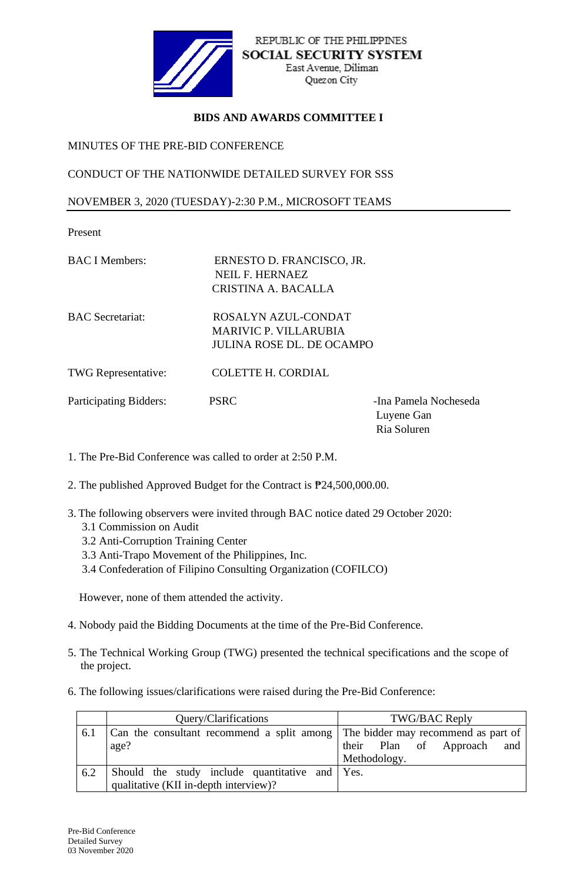

## **BIDS AND AWARDS COMMITTEE I**

MINUTES OF THE PRE-BID CONFERENCE

CONDUCT OF THE NATIONWIDE DETAILED SURVEY FOR SSS

NOVEMBER 3, 2020 (TUESDAY)-2:30 P.M., MICROSOFT TEAMS

Present

- BAC I Members: ERNESTO D. FRANCISCO, JR. NEIL F. HERNAEZ CRISTINA A. BACALLA
- 

BAC Secretariat: ROSALYN AZUL-CONDAT MARIVIC P. VILLARUBIA JULINA ROSE DL. DE OCAMPO

TWG Representative: COLETTE H. CORDIAL

Participating Bidders: PSRC -Ina Pamela Nocheseda

Luyene Gan Ria Soluren

1. The Pre-Bid Conference was called to order at 2:50 P.M.

- 2. The published Approved Budget for the Contract is ₱24,500,000.00.
- 3. The following observers were invited through BAC notice dated 29 October 2020:
	- 3.1 Commission on Audit
	- 3.2 Anti-Corruption Training Center
	- 3.3 Anti-Trapo Movement of the Philippines, Inc.
	- 3.4 Confederation of Filipino Consulting Organization (COFILCO)

However, none of them attended the activity.

- 4. Nobody paid the Bidding Documents at the time of the Pre-Bid Conference.
- 5. The Technical Working Group (TWG) presented the technical specifications and the scope of the project.
- 6. The following issues/clarifications were raised during the Pre-Bid Conference:

|     | Query/Clarifications                                                           | TWG/BAC Reply                 |
|-----|--------------------------------------------------------------------------------|-------------------------------|
| 6.1 | Can the consultant recommend a split among The bidder may recommend as part of |                               |
|     | age?                                                                           | their Plan of Approach<br>and |
|     |                                                                                | Methodology.                  |
| 6.2 | Should the study include quantitative and Yes.                                 |                               |
|     | qualitative (KII in-depth interview)?                                          |                               |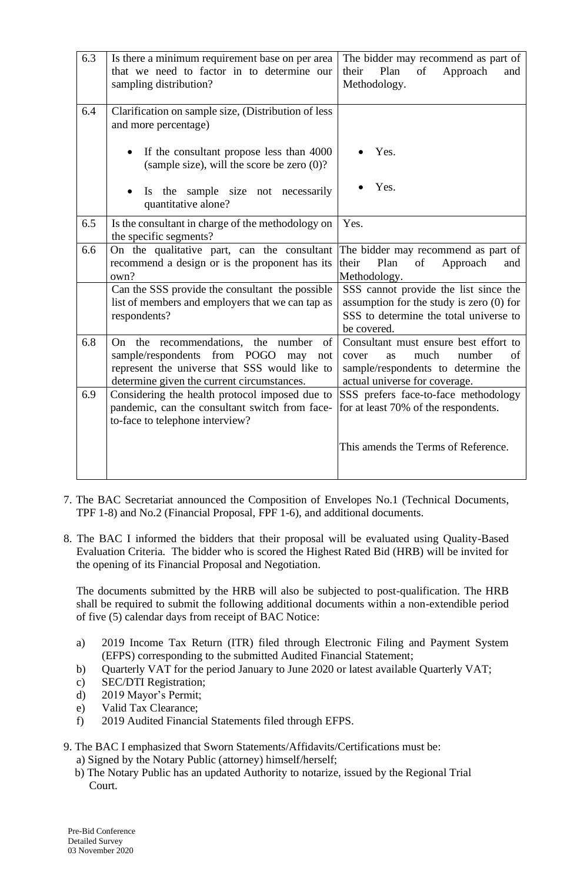| 6.3 | Is there a minimum requirement base on per area<br>that we need to factor in to determine our<br>sampling distribution?                                                                     | The bidder may recommend as part of<br>Plan<br>of<br>their<br>Approach<br>and<br>Methodology.                                                               |
|-----|---------------------------------------------------------------------------------------------------------------------------------------------------------------------------------------------|-------------------------------------------------------------------------------------------------------------------------------------------------------------|
| 6.4 | Clarification on sample size, (Distribution of less<br>and more percentage)                                                                                                                 |                                                                                                                                                             |
|     | If the consultant propose less than 4000<br>(sample size), will the score be zero $(0)$ ?                                                                                                   | Yes.                                                                                                                                                        |
|     | Is the sample size not necessarily<br>quantitative alone?                                                                                                                                   | Yes.                                                                                                                                                        |
| 6.5 | Is the consultant in charge of the methodology on<br>the specific segments?                                                                                                                 | Yes.                                                                                                                                                        |
| 6.6 | On the qualitative part, can the consultant<br>recommend a design or is the proponent has its<br>own?                                                                                       | The bidder may recommend as part of<br>their<br>Plan<br>Approach<br>of<br>and<br>Methodology.                                                               |
|     | Can the SSS provide the consultant the possible<br>list of members and employers that we can tap as<br>respondents?                                                                         | SSS cannot provide the list since the<br>assumption for the study is zero $(0)$ for<br>SSS to determine the total universe to<br>be covered.                |
| 6.8 | On the recommendations,<br>the<br>number<br>of<br>sample/respondents from POGO<br>may<br>not<br>represent the universe that SSS would like to<br>determine given the current circumstances. | Consultant must ensure best effort to<br>much<br>number<br>cover<br>οf<br><b>as</b><br>sample/respondents to determine the<br>actual universe for coverage. |
| 6.9 | Considering the health protocol imposed due to<br>pandemic, can the consultant switch from face-<br>to-face to telephone interview?                                                         | SSS prefers face-to-face methodology<br>for at least 70% of the respondents.                                                                                |
|     |                                                                                                                                                                                             | This amends the Terms of Reference.                                                                                                                         |

- 7. The BAC Secretariat announced the Composition of Envelopes No.1 (Technical Documents, TPF 1-8) and No.2 (Financial Proposal, FPF 1-6), and additional documents.
- 8. The BAC I informed the bidders that their proposal will be evaluated using Quality-Based Evaluation Criteria. The bidder who is scored the Highest Rated Bid (HRB) will be invited for the opening of its Financial Proposal and Negotiation.

The documents submitted by the HRB will also be subjected to post-qualification. The HRB shall be required to submit the following additional documents within a non-extendible period of five (5) calendar days from receipt of BAC Notice:

- a) 2019 Income Tax Return (ITR) filed through Electronic Filing and Payment System (EFPS) corresponding to the submitted Audited Financial Statement;
- b) Quarterly VAT for the period January to June 2020 or latest available Quarterly VAT;
- c) SEC/DTI Registration;
- d) 2019 Mayor's Permit;
- e) Valid Tax Clearance;
- f) 2019 Audited Financial Statements filed through EFPS.

## 9. The BAC I emphasized that Sworn Statements/Affidavits/Certifications must be:

a) Signed by the Notary Public (attorney) himself/herself;

 b) The Notary Public has an updated Authority to notarize, issued by the Regional Trial Court.